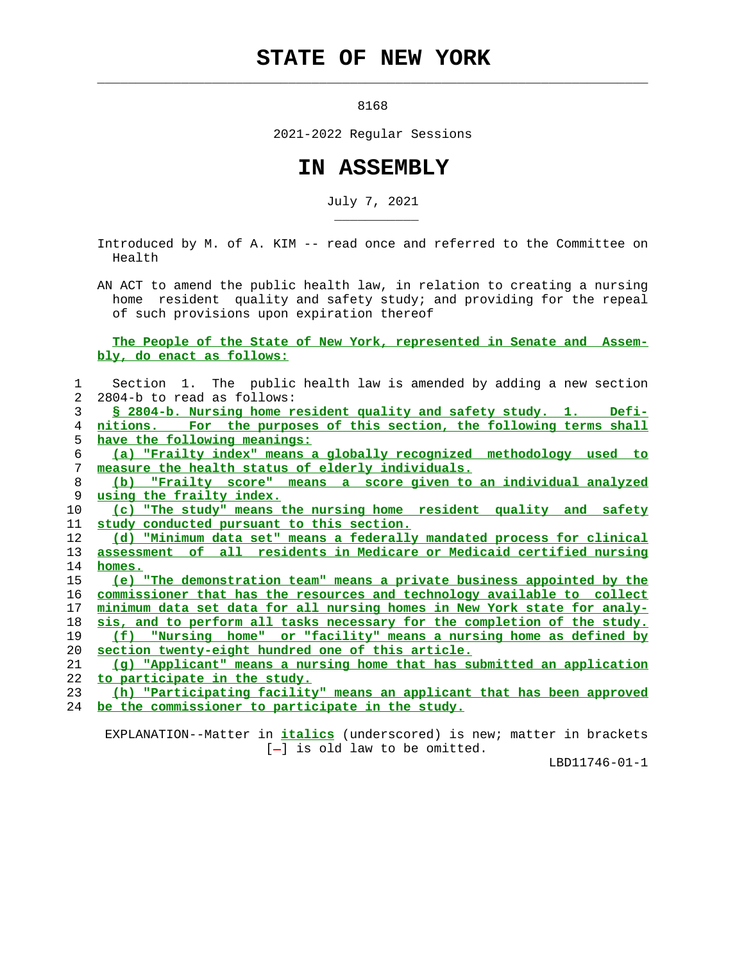## **STATE OF NEW YORK**

 $\mathcal{L}_\text{max} = \frac{1}{2} \sum_{i=1}^{n} \frac{1}{2} \sum_{i=1}^{n} \frac{1}{2} \sum_{i=1}^{n} \frac{1}{2} \sum_{i=1}^{n} \frac{1}{2} \sum_{i=1}^{n} \frac{1}{2} \sum_{i=1}^{n} \frac{1}{2} \sum_{i=1}^{n} \frac{1}{2} \sum_{i=1}^{n} \frac{1}{2} \sum_{i=1}^{n} \frac{1}{2} \sum_{i=1}^{n} \frac{1}{2} \sum_{i=1}^{n} \frac{1}{2} \sum_{i=1}^{n} \frac{1$ 

\_\_\_\_\_\_\_\_\_\_\_

8168

2021-2022 Regular Sessions

## **IN ASSEMBLY**

July 7, 2021

 Introduced by M. of A. KIM -- read once and referred to the Committee on Health

 AN ACT to amend the public health law, in relation to creating a nursing home resident quality and safety study; and providing for the repeal of such provisions upon expiration thereof

 **The People of the State of New York, represented in Senate and Assem bly, do enact as follows:**

| 1  | Section 1. The public health law is amended by adding a new section             |
|----|---------------------------------------------------------------------------------|
| 2  | 2804-b to read as follows:                                                      |
| 3  | $Defi-$<br><u>§ 2804-b. Nursing home resident quality and safety study. 1.</u>  |
| 4  | nitions. For the purposes of this section, the following terms shall            |
| 5. | have the following meanings:                                                    |
| 6  | (a) "Frailty index" means a globally recognized methodology used to             |
| 7  | measure the health status of elderly individuals.                               |
| 8  | (b) "Frailty score" means a score given to an individual analyzed               |
| 9  | using the frailty index.                                                        |
| 10 | (c) "The study" means the nursing home resident quality and safety              |
| 11 | study conducted pursuant to this section.                                       |
| 12 | (d) "Minimum data set" means a federally mandated process for clinical          |
| 13 | assessment of all residents in Medicare or Medicaid certified nursing           |
| 14 | homes.                                                                          |
| 15 | (e) "The demonstration team" means a private business appointed by the          |
| 16 | commissioner that has the resources and technology available to collect         |
| 17 | <u>minimum data set data for all nursing homes in New York state for analy-</u> |
| 18 | sis, and to perform all tasks necessary for the completion of the study.        |
| 19 | <u>(f) "Nursing home" or "facility" means a nursing home as defined by</u>      |
| 20 | section twenty-eight hundred one of this article.                               |
| 21 | (q) "Applicant" means a nursing home that has submitted an application          |
| 22 | to participate in the study.                                                    |
| 23 | (h) "Participating facility" means an applicant that has been approved          |
| 24 | be the commissioner to participate in the study.                                |

 EXPLANATION--Matter in **italics** (underscored) is new; matter in brackets [-] is old law to be omitted.

LBD11746-01-1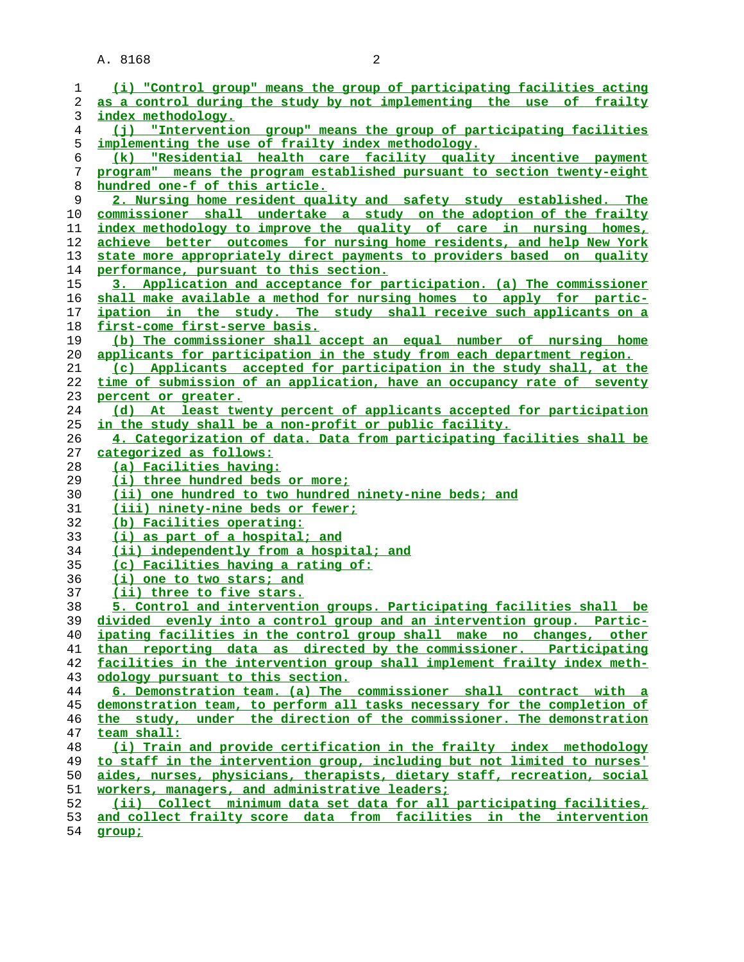A. 8168 2

| 1        | (i) "Control group" means the group of participating facilities acting                                                                     |  |  |
|----------|--------------------------------------------------------------------------------------------------------------------------------------------|--|--|
| 2        | as a control during the study by not implementing the use of frailty                                                                       |  |  |
| 3        | index methodology.                                                                                                                         |  |  |
| 4        | (j) "Intervention group" means the group of participating facilities                                                                       |  |  |
| 5        | implementing the use of frailty index methodology.                                                                                         |  |  |
| 6        | (k) "Residential health care facility quality incentive payment                                                                            |  |  |
| 7        | program" means the program established pursuant to section twenty-eight                                                                    |  |  |
| 8        | hundred one-f of this article.                                                                                                             |  |  |
| 9        | 2. Nursing home resident quality and safety study established. The                                                                         |  |  |
| 10       | commissioner shall undertake a study on the adoption of the frailty                                                                        |  |  |
| 11       | index methodology to improve the quality of care in nursing homes,                                                                         |  |  |
| 12       | achieve better outcomes for nursing home residents, and help New York                                                                      |  |  |
| 13       | state more appropriately direct payments to providers based on quality                                                                     |  |  |
| 14       | performance, pursuant to this section.                                                                                                     |  |  |
| 15       | 3. Application and acceptance for participation. (a) The commissioner                                                                      |  |  |
| 16       | shall make available a method for nursing homes to apply for partic-                                                                       |  |  |
| 17       | ipation in the study. The study shall receive such applicants on a                                                                         |  |  |
| 18       | first-come first-serve basis.                                                                                                              |  |  |
| 19       | (b) The commissioner shall accept an equal number of nursing home                                                                          |  |  |
| 20       | applicants for participation in the study from each department region.                                                                     |  |  |
| 21       | (c) Applicants accepted for participation in the study shall, at the                                                                       |  |  |
| 22       | time of submission of an application, have an occupancy rate of seventy                                                                    |  |  |
| 23       | percent or greater.                                                                                                                        |  |  |
| 24       | (d) At least twenty percent of applicants accepted for participation                                                                       |  |  |
| 25       | in the study shall be a non-profit or public facility.                                                                                     |  |  |
| 26       | 4. Categorization of data. Data from participating facilities shall be                                                                     |  |  |
| 27       | categorized as follows:                                                                                                                    |  |  |
| 28       | (a) Facilities having:                                                                                                                     |  |  |
| 29       | (i) three hundred beds or more;                                                                                                            |  |  |
| 30       | (ii) one hundred to two hundred ninety-nine beds; and                                                                                      |  |  |
| 31       | (iii) ninety-nine beds or fewer;                                                                                                           |  |  |
| 32       | (b) Facilities operating:                                                                                                                  |  |  |
| 33       |                                                                                                                                            |  |  |
| 34       | (i) as part of a hospital; and                                                                                                             |  |  |
| 35       | (ii) independently from a hospital; and<br>(c) Facilities having a rating of:                                                              |  |  |
|          | (i) one to two stars; and                                                                                                                  |  |  |
| 36       |                                                                                                                                            |  |  |
| 37       | (ii) three to five stars.                                                                                                                  |  |  |
| 38       | 5. Control and intervention groups. Participating facilities shall be                                                                      |  |  |
| 39       | divided evenly into a control group and an intervention group. Partic-                                                                     |  |  |
| 40<br>41 | ipating facilities in the control group shall make no changes, other<br>than reporting data as directed by the commissioner. Participating |  |  |
| 42       | facilities in the intervention group shall implement frailty index meth-                                                                   |  |  |
| 43       | odology pursuant to this section.                                                                                                          |  |  |
| 44       | 6. Demonstration team. (a) The commissioner shall contract with a                                                                          |  |  |
| 45       | demonstration team, to perform all tasks necessary for the completion of                                                                   |  |  |
| 46       | the study, under the direction of the commissioner. The demonstration                                                                      |  |  |
| 47       | team shall:                                                                                                                                |  |  |
| 48       | (i) Train and provide certification in the frailty index methodology                                                                       |  |  |
| 49       | to staff in the intervention group, including but not limited to nurses'                                                                   |  |  |
| 50       | aides, nurses, physicians, therapists, dietary staff, recreation, social                                                                   |  |  |
| 51       | workers, managers, and administrative leaders;                                                                                             |  |  |
| 52       |                                                                                                                                            |  |  |
|          |                                                                                                                                            |  |  |
| 53       | (ii) Collect minimum data set data for all participating facilities,<br>and collect frailty score data from facilities in the intervention |  |  |

**group;**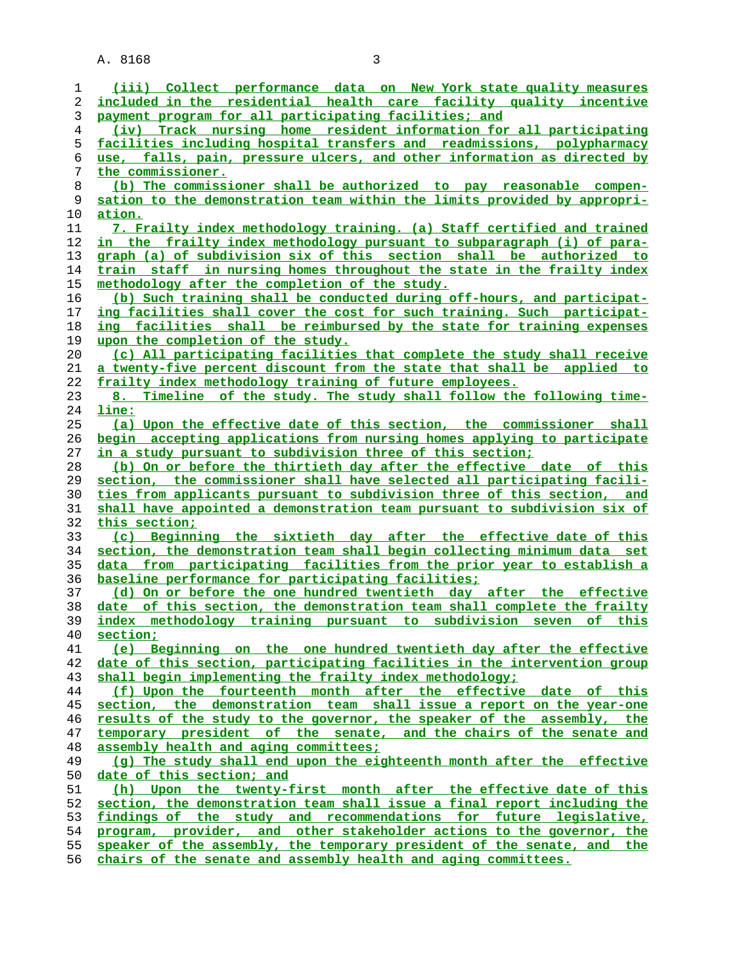A. 8168 3

**(iii) Collect performance data on New York state quality measures included in the residential health care facility quality incentive payment program for all participating facilities; and (iv) Track nursing home resident information for all participating facilities including hospital transfers and readmissions, polypharmacy use, falls, pain, pressure ulcers, and other information as directed by the commissioner. (b) The commissioner shall be authorized to pay reasonable compen- sation to the demonstration team within the limits provided by appropri- ation. 7. Frailty index methodology training. (a) Staff certified and trained in the frailty index methodology pursuant to subparagraph (i) of para- graph (a) of subdivision six of this section shall be authorized to train staff in nursing homes throughout the state in the frailty index methodology after the completion of the study. (b) Such training shall be conducted during off-hours, and participat- ing facilities shall cover the cost for such training. Such participat- ing facilities shall be reimbursed by the state for training expenses upon the completion of the study. (c) All participating facilities that complete the study shall receive a twenty-five percent discount from the state that shall be applied to frailty index methodology training of future employees. 8. Timeline of the study. The study shall follow the following time- line: (a) Upon the effective date of this section, the commissioner shall begin accepting applications from nursing homes applying to participate in a study pursuant to subdivision three of this section; (b) On or before the thirtieth day after the effective date of this section, the commissioner shall have selected all participating facili- ties from applicants pursuant to subdivision three of this section, and shall have appointed a demonstration team pursuant to subdivision six of this section; (c) Beginning the sixtieth day after the effective date of this section, the demonstration team shall begin collecting minimum data set data from participating facilities from the prior year to establish a baseline performance for participating facilities; (d) On or before the one hundred twentieth day after the effective date of this section, the demonstration team shall complete the frailty index methodology training pursuant to subdivision seven of this section; (e) Beginning on the one hundred twentieth day after the effective date of this section, participating facilities in the intervention group shall begin implementing the frailty index methodology; (f) Upon the fourteenth month after the effective date of this section, the demonstration team shall issue a report on the year-one results of the study to the governor, the speaker of the assembly, the temporary president of the senate, and the chairs of the senate and assembly health and aging committees; (g) The study shall end upon the eighteenth month after the effective date of this section; and (h) Upon the twenty-first month after the effective date of this section, the demonstration team shall issue a final report including the findings of the study and recommendations for future legislative, program, provider, and other stakeholder actions to the governor, the speaker of the assembly, the temporary president of the senate, and the chairs of the senate and assembly health and aging committees.**